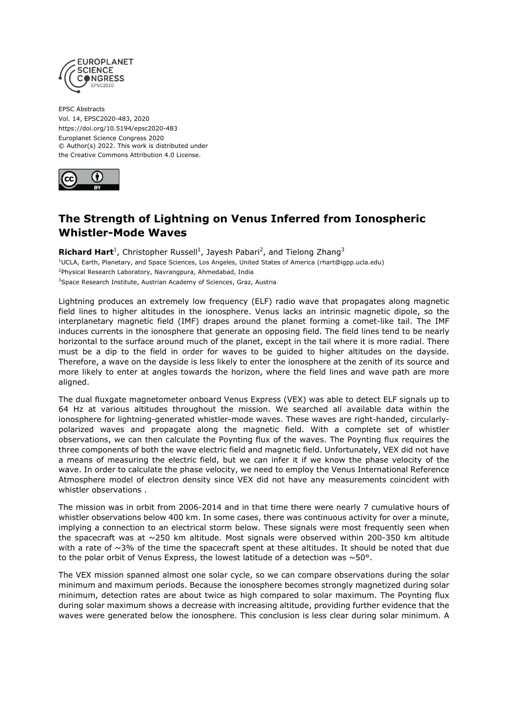

EPSC Abstracts Vol. 14, EPSC2020-483, 2020 https://doi.org/10.5194/epsc2020-483 Europlanet Science Congress 2020 © Author(s) 2022. This work is distributed under the Creative Commons Attribution 4.0 License.



## **The Strength of Lightning on Venus Inferred from Ionospheric Whistler-Mode Waves**

Richard Hart<sup>1</sup>, Christopher Russell<sup>1</sup>, Jayesh Pabari<sup>2</sup>, and Tielong Zhang<sup>3</sup> <sup>1</sup>UCLA, Earth, Planetary, and Space Sciences, Los Angeles, United States of America (rhart@igpp.ucla.edu) <sup>2</sup>Physical Research Laboratory, Navrangpura, Ahmedabad, India <sup>3</sup>Space Research Institute, Austrian Academy of Sciences, Graz, Austria

Lightning produces an extremely low frequency (ELF) radio wave that propagates along magnetic field lines to higher altitudes in the ionosphere. Venus lacks an intrinsic magnetic dipole, so the interplanetary magnetic field (IMF) drapes around the planet forming a comet-like tail. The IMF induces currents in the ionosphere that generate an opposing field. The field lines tend to be nearly horizontal to the surface around much of the planet, except in the tail where it is more radial. There must be a dip to the field in order for waves to be guided to higher altitudes on the dayside. Therefore, a wave on the dayside is less likely to enter the ionosphere at the zenith of its source and more likely to enter at angles towards the horizon, where the field lines and wave path are more aligned.

The dual fluxgate magnetometer onboard Venus Express (VEX) was able to detect ELF signals up to 64 Hz at various altitudes throughout the mission. We searched all available data within the ionosphere for lightning-generated whistler-mode waves. These waves are right-handed, circularlypolarized waves and propagate along the magnetic field. With a complete set of whistler observations, we can then calculate the Poynting flux of the waves. The Poynting flux requires the three components of both the wave electric field and magnetic field. Unfortunately, VEX did not have a means of measuring the electric field, but we can infer it if we know the phase velocity of the wave. In order to calculate the phase velocity, we need to employ the Venus International Reference Atmosphere model of electron density since VEX did not have any measurements coincident with whistler observations .

The mission was in orbit from 2006-2014 and in that time there were nearly 7 cumulative hours of whistler observations below 400 km. In some cases, there was continuous activity for over a minute, implying a connection to an electrical storm below. These signals were most frequently seen when the spacecraft was at  $\sim$ 250 km altitude. Most signals were observed within 200-350 km altitude with a rate of  $\sim$ 3% of the time the spacecraft spent at these altitudes. It should be noted that due to the polar orbit of Venus Express, the lowest latitude of a detection was  $\sim$  50 $^{\circ}$ .

The VEX mission spanned almost one solar cycle, so we can compare observations during the solar minimum and maximum periods. Because the ionosphere becomes strongly magnetized during solar minimum, detection rates are about twice as high compared to solar maximum. The Poynting flux during solar maximum shows a decrease with increasing altitude, providing further evidence that the waves were generated below the ionosphere. This conclusion is less clear during solar minimum. A